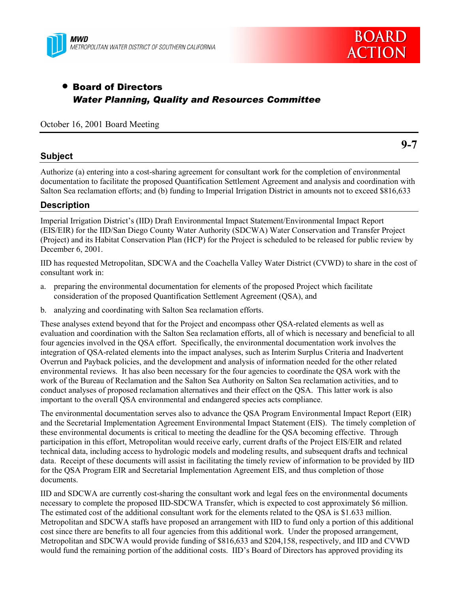



# • Board of Directors *Water Planning, Quality and Resources Committee*

October 16, 2001 Board Meeting

#### **Subject**

**9-7**

Authorize (a) entering into a cost-sharing agreement for consultant work for the completion of environmental documentation to facilitate the proposed Quantification Settlement Agreement and analysis and coordination with Salton Sea reclamation efforts; and (b) funding to Imperial Irrigation District in amounts not to exceed \$816,633

### **Description**

Imperial Irrigation District's (IID) Draft Environmental Impact Statement/Environmental Impact Report (EIS/EIR) for the IID/San Diego County Water Authority (SDCWA) Water Conservation and Transfer Project (Project) and its Habitat Conservation Plan (HCP) for the Project is scheduled to be released for public review by December 6, 2001.

IID has requested Metropolitan, SDCWA and the Coachella Valley Water District (CVWD) to share in the cost of consultant work in:

- a. preparing the environmental documentation for elements of the proposed Project which facilitate consideration of the proposed Quantification Settlement Agreement (QSA), and
- b. analyzing and coordinating with Salton Sea reclamation efforts.

These analyses extend beyond that for the Project and encompass other QSA-related elements as well as evaluation and coordination with the Salton Sea reclamation efforts, all of which is necessary and beneficial to all four agencies involved in the QSA effort. Specifically, the environmental documentation work involves the integration of QSA-related elements into the impact analyses, such as Interim Surplus Criteria and Inadvertent Overrun and Payback policies, and the development and analysis of information needed for the other related environmental reviews. It has also been necessary for the four agencies to coordinate the QSA work with the work of the Bureau of Reclamation and the Salton Sea Authority on Salton Sea reclamation activities, and to conduct analyses of proposed reclamation alternatives and their effect on the QSA. This latter work is also important to the overall QSA environmental and endangered species acts compliance.

The environmental documentation serves also to advance the QSA Program Environmental Impact Report (EIR) and the Secretarial Implementation Agreement Environmental Impact Statement (EIS). The timely completion of these environmental documents is critical to meeting the deadline for the QSA becoming effective. Through participation in this effort, Metropolitan would receive early, current drafts of the Project EIS/EIR and related technical data, including access to hydrologic models and modeling results, and subsequent drafts and technical data. Receipt of these documents will assist in facilitating the timely review of information to be provided by IID for the QSA Program EIR and Secretarial Implementation Agreement EIS, and thus completion of those documents.

IID and SDCWA are currently cost-sharing the consultant work and legal fees on the environmental documents necessary to complete the proposed IID-SDCWA Transfer, which is expected to cost approximately \$6 million. The estimated cost of the additional consultant work for the elements related to the QSA is \$1.633 million. Metropolitan and SDCWA staffs have proposed an arrangement with IID to fund only a portion of this additional cost since there are benefits to all four agencies from this additional work. Under the proposed arrangement, Metropolitan and SDCWA would provide funding of \$816,633 and \$204,158, respectively, and IID and CVWD would fund the remaining portion of the additional costs. IID's Board of Directors has approved providing its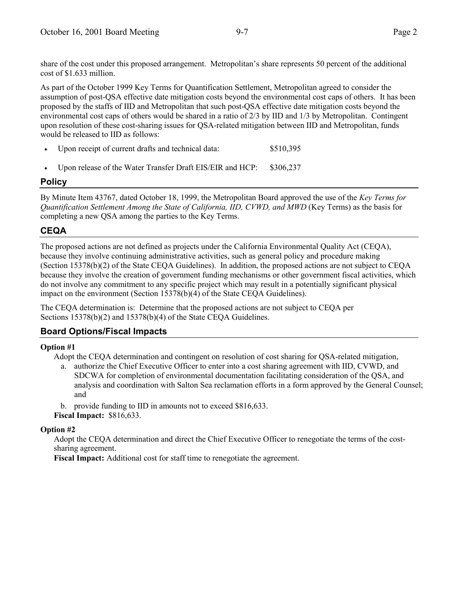share of the cost under this proposed arrangement. Metropolitan's share represents 50 percent of the additional cost of \$1.633 million.

As part of the October 1999 Key Terms for Quantification Settlement, Metropolitan agreed to consider the assumption of post-QSA effective date mitigation costs beyond the environmental cost caps of others. It has been proposed by the staffs of IID and Metropolitan that such post-QSA effective date mitigation costs beyond the environmental cost caps of others would be shared in a ratio of 2/3 by IID and 1/3 by Metropolitan. Contingent upon resolution of these cost-sharing issues for QSA-related mitigation between IID and Metropolitan, funds would be released to IID as follows:

- Upon receipt of current drafts and technical data:  $$510,395$
- Upon release of the Water Transfer Draft EIS/EIR and HCP: \$306,237

# **Policy**

By Minute Item 43767, dated October 18, 1999, the Metropolitan Board approved the use of the *Key Terms for Quantification Settlement Among the State of California, IID, CVWD, and MWD* (Key Terms) as the basis for completing a new QSA among the parties to the Key Terms.

# **CEQA**

The proposed actions are not defined as projects under the California Environmental Quality Act (CEQA), because they involve continuing administrative activities, such as general policy and procedure making (Section 15378(b)(2) of the State CEQA Guidelines). In addition, the proposed actions are not subject to CEQA because they involve the creation of government funding mechanisms or other government fiscal activities, which do not involve any commitment to any specific project which may result in a potentially significant physical impact on the environment (Section 15378(b)(4) of the State CEQA Guidelines).

The CEQA determination is: Determine that the proposed actions are not subject to CEQA per Sections 15378(b)(2) and 15378(b)(4) of the State CEQA Guidelines.

### **Board Options/Fiscal Impacts**

### **Option #1**

Adopt the CEQA determination and contingent on resolution of cost sharing for QSA-related mitigation,

a. authorize the Chief Executive Officer to enter into a cost sharing agreement with IID, CVWD, and SDCWA for completion of environmental documentation facilitating consideration of the QSA, and analysis and coordination with Salton Sea reclamation efforts in a form approved by the General Counsel; and

b. provide funding to IID in amounts not to exceed \$816,633.

**Fiscal Impact:** \$816,633.

### **Option #2**

Adopt the CEQA determination and direct the Chief Executive Officer to renegotiate the terms of the costsharing agreement.

**Fiscal Impact:** Additional cost for staff time to renegotiate the agreement.